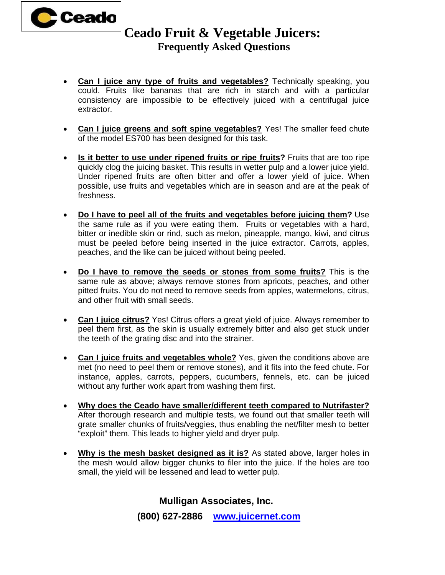

## **Ceado Fruit & Vegetable Juicers: Frequently Asked Questions**

- **Can I juice any type of fruits and vegetables?** Technically speaking, you could. Fruits like bananas that are rich in starch and with a particular consistency are impossible to be effectively juiced with a centrifugal juice extractor.
- **Can I juice greens and soft spine vegetables?** Yes! The smaller feed chute of the model ES700 has been designed for this task.
- **Is it better to use under ripened fruits or ripe fruits?** Fruits that are too ripe quickly clog the juicing basket. This results in wetter pulp and a lower juice yield. Under ripened fruits are often bitter and offer a lower yield of juice. When possible, use fruits and vegetables which are in season and are at the peak of freshness.
- **Do I have to peel all of the fruits and vegetables before juicing them?** Use the same rule as if you were eating them. Fruits or vegetables with a hard, bitter or inedible skin or rind, such as melon, pineapple, mango, kiwi, and citrus must be peeled before being inserted in the juice extractor. Carrots, apples, peaches, and the like can be juiced without being peeled.
- **Do I have to remove the seeds or stones from some fruits?** This is the same rule as above; always remove stones from apricots, peaches, and other pitted fruits. You do not need to remove seeds from apples, watermelons, citrus, and other fruit with small seeds.
- **Can I juice citrus?** Yes! Citrus offers a great yield of juice. Always remember to peel them first, as the skin is usually extremely bitter and also get stuck under the teeth of the grating disc and into the strainer.
- **Can I juice fruits and vegetables whole?** Yes, given the conditions above are met (no need to peel them or remove stones), and it fits into the feed chute. For instance, apples, carrots, peppers, cucumbers, fennels, etc. can be juiced without any further work apart from washing them first.
- **Why does the Ceado have smaller/different teeth compared to Nutrifaster?** After thorough research and multiple tests, we found out that smaller teeth will grate smaller chunks of fruits/veggies, thus enabling the net/filter mesh to better "exploit" them. This leads to higher yield and dryer pulp.
- **Why is the mesh basket designed as it is?** As stated above, larger holes in the mesh would allow bigger chunks to filer into the juice. If the holes are too small, the yield will be lessened and lead to wetter pulp.

**Mulligan Associates, Inc. (800) 627-2886 www.juicernet.com**